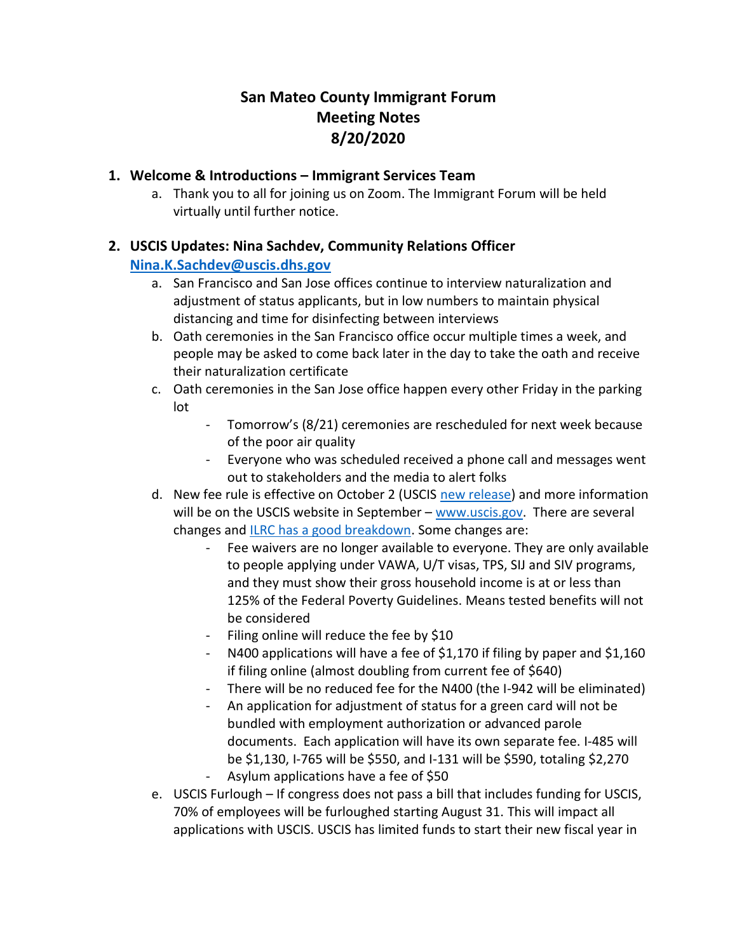# **San Mateo County Immigrant Forum Meeting Notes 8/20/2020**

## **1. Welcome & Introductions – Immigrant Services Team**

a. Thank you to all for joining us on Zoom. The Immigrant Forum will be held virtually until further notice.

## **2. USCIS Updates: Nina Sachdev, Community Relations Officer**

### **[Nina.K.Sachdev@uscis.dhs.gov](mailto:Nina.K.Sachdev@uscis.dhs.gov)**

- a. San Francisco and San Jose offices continue to interview naturalization and adjustment of status applicants, but in low numbers to maintain physical distancing and time for disinfecting between interviews
- b. Oath ceremonies in the San Francisco office occur multiple times a week, and people may be asked to come back later in the day to take the oath and receive their naturalization certificate
- c. Oath ceremonies in the San Jose office happen every other Friday in the parking lot
	- Tomorrow's (8/21) ceremonies are rescheduled for next week because of the poor air quality
	- Everyone who was scheduled received a phone call and messages went out to stakeholders and the media to alert folks
- d. New fee rule is effective on October 2 (USCIS new release) and more information will be on the USCIS website in September – [www.uscis.gov.](https://protect-us.mimecast.com/s/U23OCn5mgQFnqZkYT9cdOC) There are several changes and [ILRC has a good breakdown.](https://protect-us.mimecast.com/s/OHeaCo2njRIkLVQ0TzDoKN) Some changes are:
	- Fee waivers are no longer available to everyone. They are only available to people applying under VAWA, U/T visas, TPS, SIJ and SIV programs, and they must show their gross household income is at or less than 125% of the Federal Poverty Guidelines. Means tested benefits will not be considered
	- Filing online will reduce the fee by \$10
	- N400 applications will have a fee of \$1,170 if filing by paper and \$1,160 if filing online (almost doubling from current fee of \$640)
	- There will be no reduced fee for the N400 (the I-942 will be eliminated)
	- An application for adjustment of status for a green card will not be bundled with employment authorization or advanced parole documents. Each application will have its own separate fee. I-485 will be \$1,130, I-765 will be \$550, and I-131 will be \$590, totaling \$2,270 Asylum applications have a fee of \$50
- e. USCIS Furlough If congress does not pass a bill that includes funding for USCIS, 70% of employees will be furloughed starting August 31. This will impact all applications with USCIS. USCIS has limited funds to start their new fiscal year in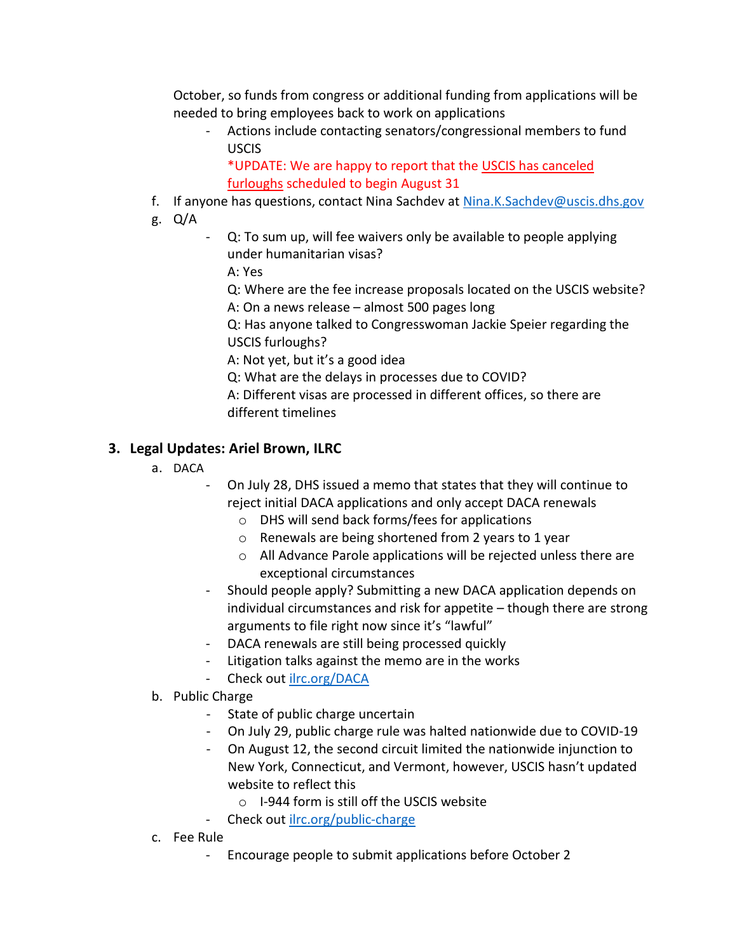October, so funds from congress or additional funding from applications will be needed to bring employees back to work on applications

- Actions include contacting senators/congressional members to fund USCIS

\*UPDATE: We are happy to report that the [USCIS has canceled](https://www.govexec.com/workforce/2020/08/immigration-services-agency-cancels-furloughs-13000-employees/167963/)  [furloughs](https://www.govexec.com/workforce/2020/08/immigration-services-agency-cancels-furloughs-13000-employees/167963/) scheduled to begin August 31

- f. If anyone has questions, contact Nina Sachdev at [Nina.K.Sachdev@uscis.dhs.gov](mailto:Nina.K.Sachdev@uscis.dhs.gov)
- g. Q/A
- Q: To sum up, will fee waivers only be available to people applying under humanitarian visas?

A: Yes

Q: Where are the fee increase proposals located on the USCIS website? A: On a news release – almost 500 pages long

Q: Has anyone talked to Congresswoman Jackie Speier regarding the USCIS furloughs?

A: Not yet, but it's a good idea

Q: What are the delays in processes due to COVID?

A: Different visas are processed in different offices, so there are different timelines

# **3. Legal Updates: Ariel Brown, ILRC**

- a. DACA
	- On July 28, DHS issued a memo that states that they will continue to reject initial DACA applications and only accept DACA renewals
		- o DHS will send back forms/fees for applications
		- o Renewals are being shortened from 2 years to 1 year
		- o All Advance Parole applications will be rejected unless there are exceptional circumstances
	- Should people apply? Submitting a new DACA application depends on individual circumstances and risk for appetite – though there are strong arguments to file right now since it's "lawful"
	- DACA renewals are still being processed quickly
	- Litigation talks against the memo are in the works
	- Check out [ilrc.org/DACA](https://www.ilrc.org/daca)
- b. Public Charge
	- State of public charge uncertain
	- On July 29, public charge rule was halted nationwide due to COVID-19
	- On August 12, the second circuit limited the nationwide injunction to New York, Connecticut, and Vermont, however, USCIS hasn't updated website to reflect this
		- o I-944 form is still off the USCIS website
	- Check out [ilrc.org/public-charge](https://www.ilrc.org/public-charge)
- c. Fee Rule
	- Encourage people to submit applications before October 2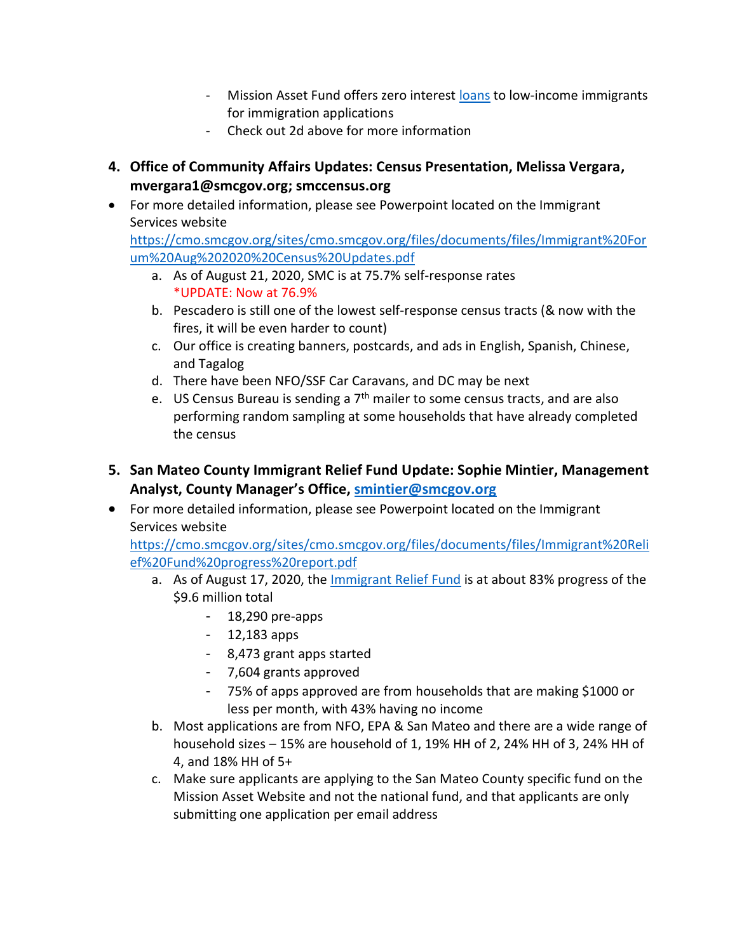- Mission Asset Fund offers zero interest [loans](https://missionassetfund.org/immigration-programs/) to low-income immigrants for immigration applications
- Check out 2d above for more information
- **4. Office of Community Affairs Updates: Census Presentation, Melissa Vergara, mvergara1@smcgov.org; smccensus.org**
- For more detailed information, please see Powerpoint located on the Immigrant Services website

[https://cmo.smcgov.org/sites/cmo.smcgov.org/files/documents/files/Immigrant%20For](https://cmo.smcgov.org/sites/cmo.smcgov.org/files/documents/files/Immigrant%20Forum%20Aug%202020%20Census%20Updates.pdf) [um%20Aug%202020%20Census%20Updates.pdf](https://cmo.smcgov.org/sites/cmo.smcgov.org/files/documents/files/Immigrant%20Forum%20Aug%202020%20Census%20Updates.pdf)

- a. As of August 21, 2020, SMC is at 75.7% self-response rates \*UPDATE: Now at 76.9%
- b. Pescadero is still one of the lowest self-response census tracts (& now with the fires, it will be even harder to count)
- c. Our office is creating banners, postcards, and ads in English, Spanish, Chinese, and Tagalog
- d. There have been NFO/SSF Car Caravans, and DC may be next
- e. US Census Bureau is sending a  $7<sup>th</sup>$  mailer to some census tracts, and are also performing random sampling at some households that have already completed the census
- **5. San Mateo County Immigrant Relief Fund Update: Sophie Mintier, Management Analyst, County Manager's Office, [smintier@smcgov.org](mailto:smintier@smcgov.org)**
- For more detailed information, please see Powerpoint located on the Immigrant Services website

[https://cmo.smcgov.org/sites/cmo.smcgov.org/files/documents/files/Immigrant%20Reli](https://cmo.smcgov.org/sites/cmo.smcgov.org/files/documents/files/Immigrant%20Relief%20Fund%20progress%20report.pdf) [ef%20Fund%20progress%20report.pdf](https://cmo.smcgov.org/sites/cmo.smcgov.org/files/documents/files/Immigrant%20Relief%20Fund%20progress%20report.pdf)

- a. As of August 17, 2020, the [Immigrant Relief Fund](https://missionassetfund.org/immigrant-families-grant-sm/) is at about 83% progress of the \$9.6 million total
	- 18,290 pre-apps
	- 12,183 apps
	- 8,473 grant apps started
	- 7,604 grants approved
	- 75% of apps approved are from households that are making \$1000 or less per month, with 43% having no income
- b. Most applications are from NFO, EPA & San Mateo and there are a wide range of household sizes – 15% are household of 1, 19% HH of 2, 24% HH of 3, 24% HH of 4, and 18% HH of 5+
- c. Make sure applicants are applying to the San Mateo County specific fund on the Mission Asset Website and not the national fund, and that applicants are only submitting one application per email address